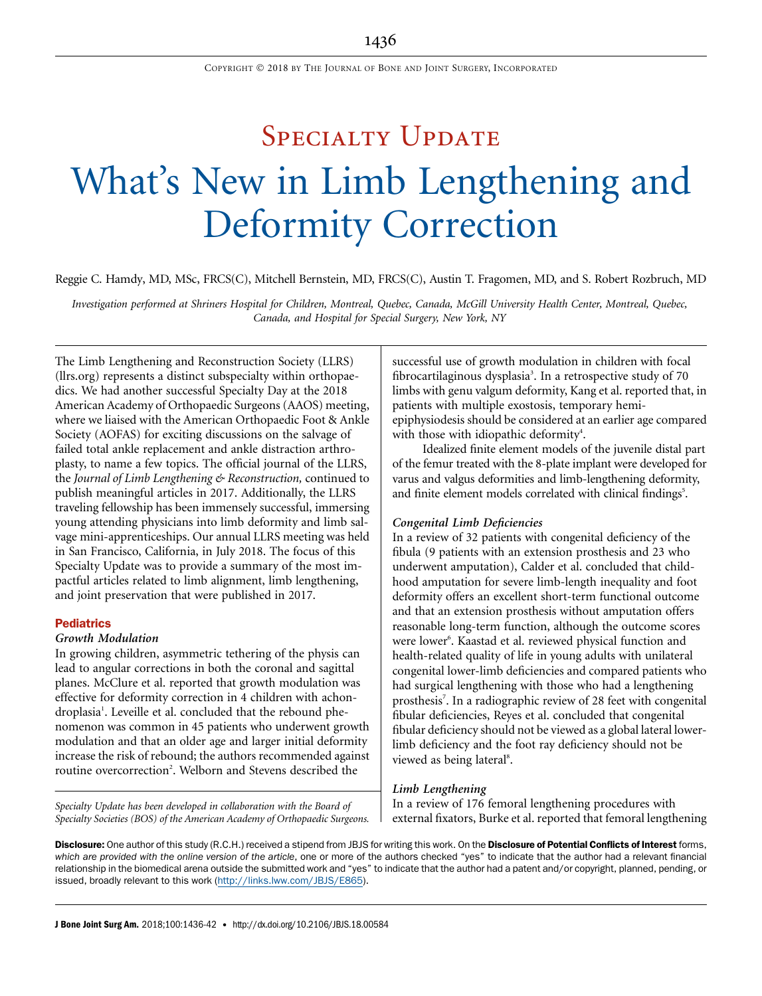# SPECIALTY UPDATE What's New in Limb Lengthening and Deformity Correction

Reggie C. Hamdy, MD, MSc, FRCS(C), Mitchell Bernstein, MD, FRCS(C), Austin T. Fragomen, MD, and S. Robert Rozbruch, MD

Investigation performed at Shriners Hospital for Children, Montreal, Quebec, Canada, McGill University Health Center, Montreal, Quebec, Canada, and Hospital for Special Surgery, New York, NY

The Limb Lengthening and Reconstruction Society (LLRS) (llrs.org) represents a distinct subspecialty within orthopaedics. We had another successful Specialty Day at the 2018 American Academy of Orthopaedic Surgeons (AAOS) meeting, where we liaised with the American Orthopaedic Foot & Ankle Society (AOFAS) for exciting discussions on the salvage of failed total ankle replacement and ankle distraction arthroplasty, to name a few topics. The official journal of the LLRS, the Journal of Limb Lengthening & Reconstruction, continued to publish meaningful articles in 2017. Additionally, the LLRS traveling fellowship has been immensely successful, immersing young attending physicians into limb deformity and limb salvage mini-apprenticeships. Our annual LLRS meeting was held in San Francisco, California, in July 2018. The focus of this Specialty Update was to provide a summary of the most impactful articles related to limb alignment, limb lengthening, and joint preservation that were published in 2017.

# **Pediatrics**

# Growth Modulation

In growing children, asymmetric tethering of the physis can lead to angular corrections in both the coronal and sagittal planes. McClure et al. reported that growth modulation was effective for deformity correction in 4 children with achondroplasia<sup>1</sup>. Leveille et al. concluded that the rebound phenomenon was common in 45 patients who underwent growth modulation and that an older age and larger initial deformity increase the risk of rebound; the authors recommended against routine overcorrection<sup>2</sup>. Welborn and Stevens described the

Specialty Update has been developed in collaboration with the Board of Specialty Societies (BOS) of the American Academy of Orthopaedic Surgeons. successful use of growth modulation in children with focal fibrocartilaginous dysplasia<sup>3</sup>. In a retrospective study of 70 limbs with genu valgum deformity, Kang et al. reported that, in patients with multiple exostosis, temporary hemiepiphysiodesis should be considered at an earlier age compared with those with idiopathic deformity<sup>4</sup>.

Idealized finite element models of the juvenile distal part of the femur treated with the 8-plate implant were developed for varus and valgus deformities and limb-lengthening deformity, and finite element models correlated with clinical findings<sup>5</sup>.

## Congenital Limb Deficiencies

In a review of 32 patients with congenital deficiency of the fibula (9 patients with an extension prosthesis and 23 who underwent amputation), Calder et al. concluded that childhood amputation for severe limb-length inequality and foot deformity offers an excellent short-term functional outcome and that an extension prosthesis without amputation offers reasonable long-term function, although the outcome scores were lower<sup>6</sup>. Kaastad et al. reviewed physical function and health-related quality of life in young adults with unilateral congenital lower-limb deficiencies and compared patients who had surgical lengthening with those who had a lengthening prosthesis<sup>7</sup>. In a radiographic review of 28 feet with congenital fibular deficiencies, Reyes et al. concluded that congenital fibular deficiency should not be viewed as a global lateral lowerlimb deficiency and the foot ray deficiency should not be viewed as being lateral<sup>8</sup>.

### Limb Lengthening

In a review of 176 femoral lengthening procedures with external fixators, Burke et al. reported that femoral lengthening

Disclosure: One author of this study (R.C.H.) received a stipend from JBJS for writing this work. On the Disclosure of Potential Conflicts of Interest forms, which are provided with the online version of the article, one or more of the authors checked "yes" to indicate that the author had a relevant financial relationship in the biomedical arena outside the submitted work and "yes" to indicate that the author had a patent and/or copyright, planned, pending, or issued, broadly relevant to this work (<http://links.lww.com/JBJS/E865>).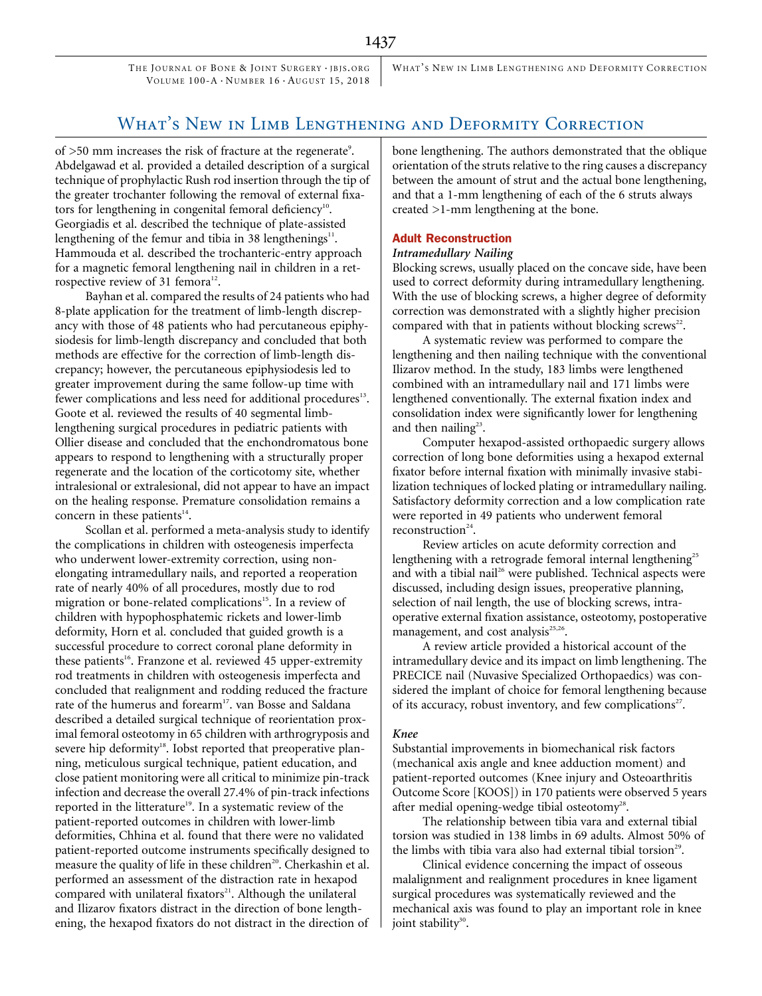THE JOURNAL OF BONE & JOINT SURGERY · JBJS. ORG VOLUME 100-A · NUMBER 16 · AUGUST 15, 2018

WHAT'S NEW IN LIMB LENGTHENING AND DEFORMITY CORRECTION

# WHAT'S NEW IN LIMB LENGTHENING AND DEFORMITY CORRECTION

of >50 mm increases the risk of fracture at the regenerate<sup>9</sup>. Abdelgawad et al. provided a detailed description of a surgical technique of prophylactic Rush rod insertion through the tip of the greater trochanter following the removal of external fixators for lengthening in congenital femoral deficiency<sup>10</sup>. Georgiadis et al. described the technique of plate-assisted lengthening of the femur and tibia in 38 lengthenings $11$ . Hammouda et al. described the trochanteric-entry approach for a magnetic femoral lengthening nail in children in a retrospective review of 31 femora<sup>12</sup>.

Bayhan et al. compared the results of 24 patients who had 8-plate application for the treatment of limb-length discrepancy with those of 48 patients who had percutaneous epiphysiodesis for limb-length discrepancy and concluded that both methods are effective for the correction of limb-length discrepancy; however, the percutaneous epiphysiodesis led to greater improvement during the same follow-up time with fewer complications and less need for additional procedures<sup>13</sup>. Goote et al. reviewed the results of 40 segmental limblengthening surgical procedures in pediatric patients with Ollier disease and concluded that the enchondromatous bone appears to respond to lengthening with a structurally proper regenerate and the location of the corticotomy site, whether intralesional or extralesional, did not appear to have an impact on the healing response. Premature consolidation remains a concern in these patients $14$ .

Scollan et al. performed a meta-analysis study to identify the complications in children with osteogenesis imperfecta who underwent lower-extremity correction, using nonelongating intramedullary nails, and reported a reoperation rate of nearly 40% of all procedures, mostly due to rod migration or bone-related complications<sup>15</sup>. In a review of children with hypophosphatemic rickets and lower-limb deformity, Horn et al. concluded that guided growth is a successful procedure to correct coronal plane deformity in these patients<sup>16</sup>. Franzone et al. reviewed 45 upper-extremity rod treatments in children with osteogenesis imperfecta and concluded that realignment and rodding reduced the fracture rate of the humerus and forearm<sup>17</sup>. van Bosse and Saldana described a detailed surgical technique of reorientation proximal femoral osteotomy in 65 children with arthrogryposis and severe hip deformity<sup>18</sup>. Iobst reported that preoperative planning, meticulous surgical technique, patient education, and close patient monitoring were all critical to minimize pin-track infection and decrease the overall 27.4% of pin-track infections reported in the litterature<sup>19</sup>. In a systematic review of the patient-reported outcomes in children with lower-limb deformities, Chhina et al. found that there were no validated patient-reported outcome instruments specifically designed to measure the quality of life in these children<sup>20</sup>. Cherkashin et al. performed an assessment of the distraction rate in hexapod compared with unilateral fixators<sup>21</sup>. Although the unilateral and Ilizarov fixators distract in the direction of bone lengthening, the hexapod fixators do not distract in the direction of bone lengthening. The authors demonstrated that the oblique orientation of the struts relative to the ring causes a discrepancy between the amount of strut and the actual bone lengthening, and that a 1-mm lengthening of each of the 6 struts always created >1-mm lengthening at the bone.

# Adult Reconstruction

## Intramedullary Nailing

Blocking screws, usually placed on the concave side, have been used to correct deformity during intramedullary lengthening. With the use of blocking screws, a higher degree of deformity correction was demonstrated with a slightly higher precision compared with that in patients without blocking screws<sup>22</sup>.

A systematic review was performed to compare the lengthening and then nailing technique with the conventional Ilizarov method. In the study, 183 limbs were lengthened combined with an intramedullary nail and 171 limbs were lengthened conventionally. The external fixation index and consolidation index were significantly lower for lengthening and then nailing $23$ .

Computer hexapod-assisted orthopaedic surgery allows correction of long bone deformities using a hexapod external fixator before internal fixation with minimally invasive stabilization techniques of locked plating or intramedullary nailing. Satisfactory deformity correction and a low complication rate were reported in 49 patients who underwent femoral reconstruction<sup>24</sup>.

Review articles on acute deformity correction and lengthening with a retrograde femoral internal lengthening<sup>25</sup> and with a tibial nail<sup>26</sup> were published. Technical aspects were discussed, including design issues, preoperative planning, selection of nail length, the use of blocking screws, intraoperative external fixation assistance, osteotomy, postoperative management, and cost analysis<sup>25,26</sup>.

A review article provided a historical account of the intramedullary device and its impact on limb lengthening. The PRECICE nail (Nuvasive Specialized Orthopaedics) was considered the implant of choice for femoral lengthening because of its accuracy, robust inventory, and few complications<sup>27</sup>.

## Knee

Substantial improvements in biomechanical risk factors (mechanical axis angle and knee adduction moment) and patient-reported outcomes (Knee injury and Osteoarthritis Outcome Score [KOOS]) in 170 patients were observed 5 years after medial opening-wedge tibial osteotomy<sup>28</sup>.

The relationship between tibia vara and external tibial torsion was studied in 138 limbs in 69 adults. Almost 50% of the limbs with tibia vara also had external tibial torsion<sup>29</sup>.

Clinical evidence concerning the impact of osseous malalignment and realignment procedures in knee ligament surgical procedures was systematically reviewed and the mechanical axis was found to play an important role in knee joint stability $30$ .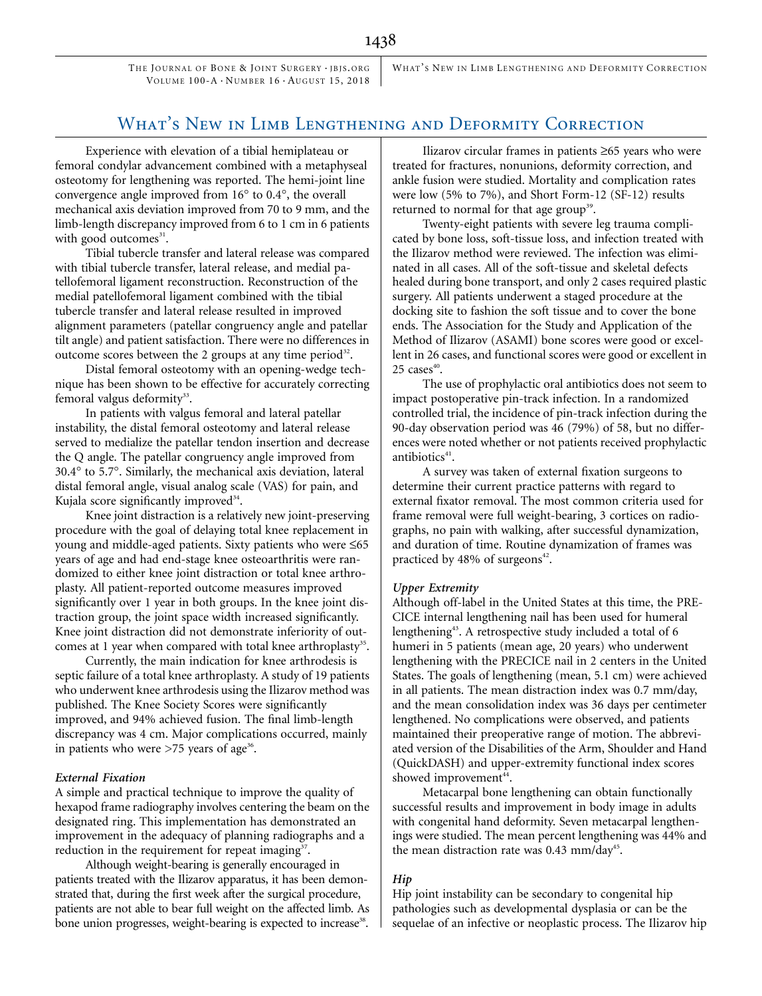THE JOURNAL OF BONE & JOINT SURGERY · JBJS. ORG VOLUME 100-A · NUMBER 16 · AUGUST 15, 2018

WHAT'S NEW IN LIMB LENGTHENING AND DEFORMITY CORRECTION

# WHAT'S NEW IN LIMB LENGTHENING AND DEFORMITY CORRECTION

Experience with elevation of a tibial hemiplateau or femoral condylar advancement combined with a metaphyseal osteotomy for lengthening was reported. The hemi-joint line convergence angle improved from  $16^{\circ}$  to  $0.4^{\circ}$ , the overall mechanical axis deviation improved from 70 to 9 mm, and the limb-length discrepancy improved from 6 to 1 cm in 6 patients with good outcomes $31$ .

Tibial tubercle transfer and lateral release was compared with tibial tubercle transfer, lateral release, and medial patellofemoral ligament reconstruction. Reconstruction of the medial patellofemoral ligament combined with the tibial tubercle transfer and lateral release resulted in improved alignment parameters (patellar congruency angle and patellar tilt angle) and patient satisfaction. There were no differences in outcome scores between the 2 groups at any time period<sup>32</sup>.

Distal femoral osteotomy with an opening-wedge technique has been shown to be effective for accurately correcting femoral valgus deformity $33$ .

In patients with valgus femoral and lateral patellar instability, the distal femoral osteotomy and lateral release served to medialize the patellar tendon insertion and decrease the Q angle. The patellar congruency angle improved from 30.4° to 5.7°. Similarly, the mechanical axis deviation, lateral distal femoral angle, visual analog scale (VAS) for pain, and Kujala score significantly improved $34$ .

Knee joint distraction is a relatively new joint-preserving procedure with the goal of delaying total knee replacement in young and middle-aged patients. Sixty patients who were  $\leq 65$ years of age and had end-stage knee osteoarthritis were randomized to either knee joint distraction or total knee arthroplasty. All patient-reported outcome measures improved significantly over 1 year in both groups. In the knee joint distraction group, the joint space width increased significantly. Knee joint distraction did not demonstrate inferiority of outcomes at 1 year when compared with total knee arthroplasty<sup>35</sup>.

Currently, the main indication for knee arthrodesis is septic failure of a total knee arthroplasty. A study of 19 patients who underwent knee arthrodesis using the Ilizarov method was published. The Knee Society Scores were significantly improved, and 94% achieved fusion. The final limb-length discrepancy was 4 cm. Major complications occurred, mainly in patients who were  $>75$  years of age<sup>36</sup>.

## External Fixation

A simple and practical technique to improve the quality of hexapod frame radiography involves centering the beam on the designated ring. This implementation has demonstrated an improvement in the adequacy of planning radiographs and a reduction in the requirement for repeat imaging<sup>37</sup>.

Although weight-bearing is generally encouraged in patients treated with the Ilizarov apparatus, it has been demonstrated that, during the first week after the surgical procedure, patients are not able to bear full weight on the affected limb. As bone union progresses, weight-bearing is expected to increase<sup>38</sup>.

Ilizarov circular frames in patients  $\geq 65$  years who were treated for fractures, nonunions, deformity correction, and ankle fusion were studied. Mortality and complication rates were low (5% to 7%), and Short Form-12 (SF-12) results returned to normal for that age group<sup>39</sup>.

Twenty-eight patients with severe leg trauma complicated by bone loss, soft-tissue loss, and infection treated with the Ilizarov method were reviewed. The infection was eliminated in all cases. All of the soft-tissue and skeletal defects healed during bone transport, and only 2 cases required plastic surgery. All patients underwent a staged procedure at the docking site to fashion the soft tissue and to cover the bone ends. The Association for the Study and Application of the Method of Ilizarov (ASAMI) bone scores were good or excellent in 26 cases, and functional scores were good or excellent in  $25$  cases $40$ .

The use of prophylactic oral antibiotics does not seem to impact postoperative pin-track infection. In a randomized controlled trial, the incidence of pin-track infection during the 90-day observation period was 46 (79%) of 58, but no differences were noted whether or not patients received prophylactic antibiotics $41$ .

A survey was taken of external fixation surgeons to determine their current practice patterns with regard to external fixator removal. The most common criteria used for frame removal were full weight-bearing, 3 cortices on radiographs, no pain with walking, after successful dynamization, and duration of time. Routine dynamization of frames was practiced by  $48\%$  of surgeons<sup>42</sup>.

#### Upper Extremity

Although off-label in the United States at this time, the PRE-CICE internal lengthening nail has been used for humeral lengthening<sup>43</sup>. A retrospective study included a total of 6 humeri in 5 patients (mean age, 20 years) who underwent lengthening with the PRECICE nail in 2 centers in the United States. The goals of lengthening (mean, 5.1 cm) were achieved in all patients. The mean distraction index was 0.7 mm/day, and the mean consolidation index was 36 days per centimeter lengthened. No complications were observed, and patients maintained their preoperative range of motion. The abbreviated version of the Disabilities of the Arm, Shoulder and Hand (QuickDASH) and upper-extremity functional index scores showed improvement<sup>44</sup>.

Metacarpal bone lengthening can obtain functionally successful results and improvement in body image in adults with congenital hand deformity. Seven metacarpal lengthenings were studied. The mean percent lengthening was 44% and the mean distraction rate was  $0.43$  mm/day<sup>45</sup>.

# Hip

Hip joint instability can be secondary to congenital hip pathologies such as developmental dysplasia or can be the sequelae of an infective or neoplastic process. The Ilizarov hip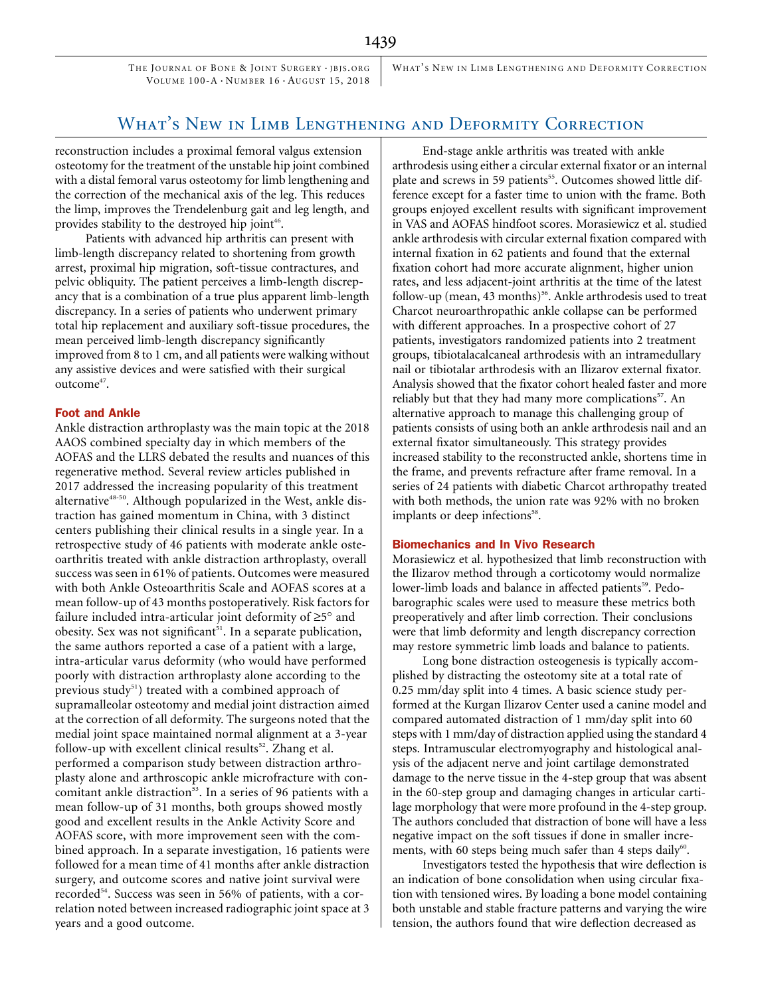THE JOURNAL OF BONE & JOINT SURGERY · JBJS. ORG VOLUME 100-A · NUMBER 16 · AUGUST 15, 2018

WHAT'S NEW IN LIMB LENGTHENING AND DEFORMITY CORRECTION

# What's New in Limb Lengthening and Deformity Correction

reconstruction includes a proximal femoral valgus extension osteotomy for the treatment of the unstable hip joint combined with a distal femoral varus osteotomy for limb lengthening and the correction of the mechanical axis of the leg. This reduces the limp, improves the Trendelenburg gait and leg length, and provides stability to the destroyed hip joint<sup>46</sup>.

Patients with advanced hip arthritis can present with limb-length discrepancy related to shortening from growth arrest, proximal hip migration, soft-tissue contractures, and pelvic obliquity. The patient perceives a limb-length discrepancy that is a combination of a true plus apparent limb-length discrepancy. In a series of patients who underwent primary total hip replacement and auxiliary soft-tissue procedures, the mean perceived limb-length discrepancy significantly improved from 8 to 1 cm, and all patients were walking without any assistive devices and were satisfied with their surgical outcome<sup>47</sup>.

## Foot and Ankle

Ankle distraction arthroplasty was the main topic at the 2018 AAOS combined specialty day in which members of the AOFAS and the LLRS debated the results and nuances of this regenerative method. Several review articles published in 2017 addressed the increasing popularity of this treatment alternative<sup>48-50</sup>. Although popularized in the West, ankle distraction has gained momentum in China, with 3 distinct centers publishing their clinical results in a single year. In a retrospective study of 46 patients with moderate ankle osteoarthritis treated with ankle distraction arthroplasty, overall success was seen in 61% of patients. Outcomes were measured with both Ankle Osteoarthritis Scale and AOFAS scores at a mean follow-up of 43 months postoperatively. Risk factors for failure included intra-articular joint deformity of  $\geq 5^\circ$  and obesity. Sex was not significant<sup>51</sup>. In a separate publication, the same authors reported a case of a patient with a large, intra-articular varus deformity (who would have performed poorly with distraction arthroplasty alone according to the previous study $^{51}$ ) treated with a combined approach of supramalleolar osteotomy and medial joint distraction aimed at the correction of all deformity. The surgeons noted that the medial joint space maintained normal alignment at a 3-year follow-up with excellent clinical results<sup>52</sup>. Zhang et al. performed a comparison study between distraction arthroplasty alone and arthroscopic ankle microfracture with concomitant ankle distraction<sup>53</sup>. In a series of 96 patients with a mean follow-up of 31 months, both groups showed mostly good and excellent results in the Ankle Activity Score and AOFAS score, with more improvement seen with the combined approach. In a separate investigation, 16 patients were followed for a mean time of 41 months after ankle distraction surgery, and outcome scores and native joint survival were recorded<sup>54</sup>. Success was seen in 56% of patients, with a correlation noted between increased radiographic joint space at 3 years and a good outcome.

End-stage ankle arthritis was treated with ankle arthrodesis using either a circular external fixator or an internal plate and screws in 59 patients<sup>55</sup>. Outcomes showed little difference except for a faster time to union with the frame. Both groups enjoyed excellent results with significant improvement in VAS and AOFAS hindfoot scores. Morasiewicz et al. studied ankle arthrodesis with circular external fixation compared with internal fixation in 62 patients and found that the external fixation cohort had more accurate alignment, higher union rates, and less adjacent-joint arthritis at the time of the latest follow-up (mean, 43 months)<sup>56</sup>. Ankle arthrodesis used to treat Charcot neuroarthropathic ankle collapse can be performed with different approaches. In a prospective cohort of 27 patients, investigators randomized patients into 2 treatment groups, tibiotalacalcaneal arthrodesis with an intramedullary nail or tibiotalar arthrodesis with an Ilizarov external fixator. Analysis showed that the fixator cohort healed faster and more reliably but that they had many more complications<sup>57</sup>. An alternative approach to manage this challenging group of patients consists of using both an ankle arthrodesis nail and an external fixator simultaneously. This strategy provides increased stability to the reconstructed ankle, shortens time in the frame, and prevents refracture after frame removal. In a series of 24 patients with diabetic Charcot arthropathy treated with both methods, the union rate was 92% with no broken implants or deep infections<sup>58</sup>.

#### Biomechanics and In Vivo Research

Morasiewicz et al. hypothesized that limb reconstruction with the Ilizarov method through a corticotomy would normalize lower-limb loads and balance in affected patients<sup>59</sup>. Pedobarographic scales were used to measure these metrics both preoperatively and after limb correction. Their conclusions were that limb deformity and length discrepancy correction may restore symmetric limb loads and balance to patients.

Long bone distraction osteogenesis is typically accomplished by distracting the osteotomy site at a total rate of 0.25 mm/day split into 4 times. A basic science study performed at the Kurgan Ilizarov Center used a canine model and compared automated distraction of 1 mm/day split into 60 steps with 1 mm/day of distraction applied using the standard 4 steps. Intramuscular electromyography and histological analysis of the adjacent nerve and joint cartilage demonstrated damage to the nerve tissue in the 4-step group that was absent in the 60-step group and damaging changes in articular cartilage morphology that were more profound in the 4-step group. The authors concluded that distraction of bone will have a less negative impact on the soft tissues if done in smaller increments, with 60 steps being much safer than 4 steps daily $60$ .

Investigators tested the hypothesis that wire deflection is an indication of bone consolidation when using circular fixation with tensioned wires. By loading a bone model containing both unstable and stable fracture patterns and varying the wire tension, the authors found that wire deflection decreased as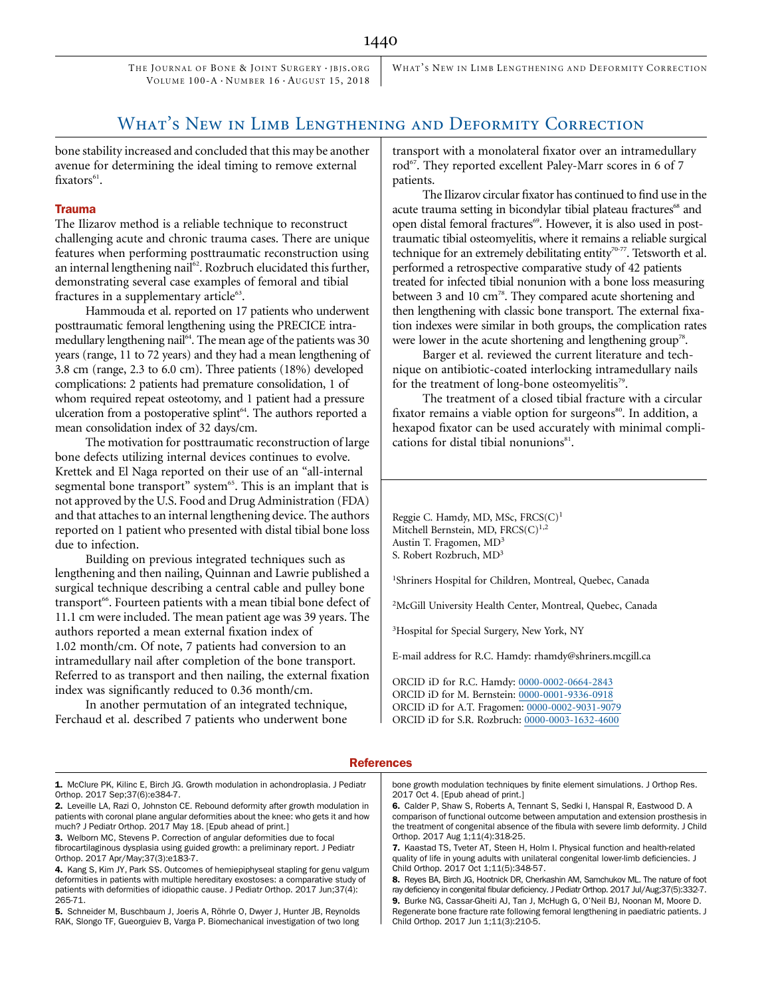THE JOURNAL OF BONE & JOINT SURGERY . IBIS. ORG VOLUME 100-A · NUMBER 16 · AUGUST 15, 2018

WHAT'S NEW IN LIMB LENGTHENING AND DEFORMITY CORRECTION

# What's New in Limb Lengthening and Deformity Correction

bone stability increased and concluded that this may be another avenue for determining the ideal timing to remove external  $fixators<sup>61</sup>$ .

## Trauma

The Ilizarov method is a reliable technique to reconstruct challenging acute and chronic trauma cases. There are unique features when performing posttraumatic reconstruction using an internal lengthening nail<sup>62</sup>. Rozbruch elucidated this further, demonstrating several case examples of femoral and tibial fractures in a supplementary article<sup>63</sup>.

Hammouda et al. reported on 17 patients who underwent posttraumatic femoral lengthening using the PRECICE intramedullary lengthening nail<sup>64</sup>. The mean age of the patients was 30 years (range, 11 to 72 years) and they had a mean lengthening of 3.8 cm (range, 2.3 to 6.0 cm). Three patients (18%) developed complications: 2 patients had premature consolidation, 1 of whom required repeat osteotomy, and 1 patient had a pressure ulceration from a postoperative splint<sup>64</sup>. The authors reported a mean consolidation index of 32 days/cm.

The motivation for posttraumatic reconstruction of large bone defects utilizing internal devices continues to evolve. Krettek and El Naga reported on their use of an "all-internal segmental bone transport" system<sup>65</sup>. This is an implant that is not approved by the U.S. Food and Drug Administration (FDA) and that attaches to an internal lengthening device. The authors reported on 1 patient who presented with distal tibial bone loss due to infection.

Building on previous integrated techniques such as lengthening and then nailing, Quinnan and Lawrie published a surgical technique describing a central cable and pulley bone transport<sup>66</sup>. Fourteen patients with a mean tibial bone defect of 11.1 cm were included. The mean patient age was 39 years. The authors reported a mean external fixation index of 1.02 month/cm. Of note, 7 patients had conversion to an intramedullary nail after completion of the bone transport. Referred to as transport and then nailing, the external fixation index was significantly reduced to 0.36 month/cm.

In another permutation of an integrated technique, Ferchaud et al. described 7 patients who underwent bone

transport with a monolateral fixator over an intramedullary rod<sup>67</sup>. They reported excellent Paley-Marr scores in 6 of 7 patients.

The Ilizarov circular fixator has continued to find use in the acute trauma setting in bicondylar tibial plateau fractures<sup>68</sup> and open distal femoral fractures<sup>69</sup>. However, it is also used in posttraumatic tibial osteomyelitis, where it remains a reliable surgical technique for an extremely debilitating entity<sup>70-77</sup>. Tetsworth et al. performed a retrospective comparative study of 42 patients treated for infected tibial nonunion with a bone loss measuring between 3 and 10  $\text{cm}^{78}$ . They compared acute shortening and then lengthening with classic bone transport. The external fixation indexes were similar in both groups, the complication rates were lower in the acute shortening and lengthening group<sup>78</sup>.

Barger et al. reviewed the current literature and technique on antibiotic-coated interlocking intramedullary nails for the treatment of long-bone osteomyelitis<sup>79</sup>.

The treatment of a closed tibial fracture with a circular fixator remains a viable option for surgeons<sup>80</sup>. In addition, a hexapod fixator can be used accurately with minimal complications for distal tibial nonunions $^{81}$ .

Reggie C. Hamdy, MD, MSc, FRCS(C)<sup>1</sup> Mitchell Bernstein, MD, FRCS(C)<sup>1,2</sup> Austin T. Fragomen, MD<sup>3</sup> S. Robert Rozbruch, MD3

1 Shriners Hospital for Children, Montreal, Quebec, Canada

2 McGill University Health Center, Montreal, Quebec, Canada

3 Hospital for Special Surgery, New York, NY

E-mail address for R.C. Hamdy: rhamdy@shriners.mcgill.ca

ORCID iD for R.C. Hamdy: [0000-0002-0664-2843](http://orcid.org/0000-0002-0664-2843) ORCID iD for M. Bernstein: [0000-0001-9336-0918](http://orcid.org/0000-0001-9336-0918) ORCID iD for A.T. Fragomen: [0000-0002-9031-9079](http://orcid.org/0000-0002-9031-9079) ORCID iD for S.R. Rozbruch: [0000-0003-1632-4600](http://orcid.org/0000-0003-1632-4600)

#### **References**

2. Leveille LA, Razi O, Johnston CE. Rebound deformity after growth modulation in patients with coronal plane angular deformities about the knee: who gets it and how much? J Pediatr Orthop. 2017 May 18. [Epub ahead of print.]

3. Welborn MC, Stevens P. Correction of angular deformities due to focal fibrocartilaginous dysplasia using guided growth: a preliminary report. J Pediatr Orthop. 2017 Apr/May;37(3):e183-7.

5. Schneider M, Buschbaum J, Joeris A, Röhrle O, Dwyer J, Hunter JB, Reynolds RAK, Slongo TF, Gueorguiev B, Varga P. Biomechanical investigation of two long bone growth modulation techniques by finite element simulations. J Orthop Res. 2017 Oct 4. [Epub ahead of print.]

6. Calder P, Shaw S, Roberts A, Tennant S, Sedki I, Hanspal R, Eastwood D. A comparison of functional outcome between amputation and extension prosthesis in the treatment of congenital absence of the fibula with severe limb deformity. J Child Orthop. 2017 Aug 1;11(4):318-25.

7. Kaastad TS, Tveter AT, Steen H, Holm I. Physical function and health-related quality of life in young adults with unilateral congenital lower-limb deficiencies. J Child Orthop. 2017 Oct 1;11(5):348-57.

8. Reyes BA, Birch JG, Hootnick DR, Cherkashin AM, Samchukov ML. The nature of foot ray deficiency in congenital fibular deficiency. J Pediatr Orthop. 2017 Jul/Aug;37(5):332-7. 9. Burke NG, Cassar-Gheiti AJ, Tan J, McHugh G, O'Neil BJ, Noonan M, Moore D. Regenerate bone fracture rate following femoral lengthening in paediatric patients. J Child Orthop. 2017 Jun 1;11(3):210-5.

<sup>1.</sup> McClure PK, Kilinc E, Birch JG. Growth modulation in achondroplasia. J Pediatr Orthop. 2017 Sep;37(6):e384-7.

<sup>4.</sup> Kang S, Kim JY, Park SS. Outcomes of hemiepiphyseal stapling for genu valgum deformities in patients with multiple hereditary exostoses: a comparative study of patients with deformities of idiopathic cause. J Pediatr Orthop. 2017 Jun;37(4): 265-71.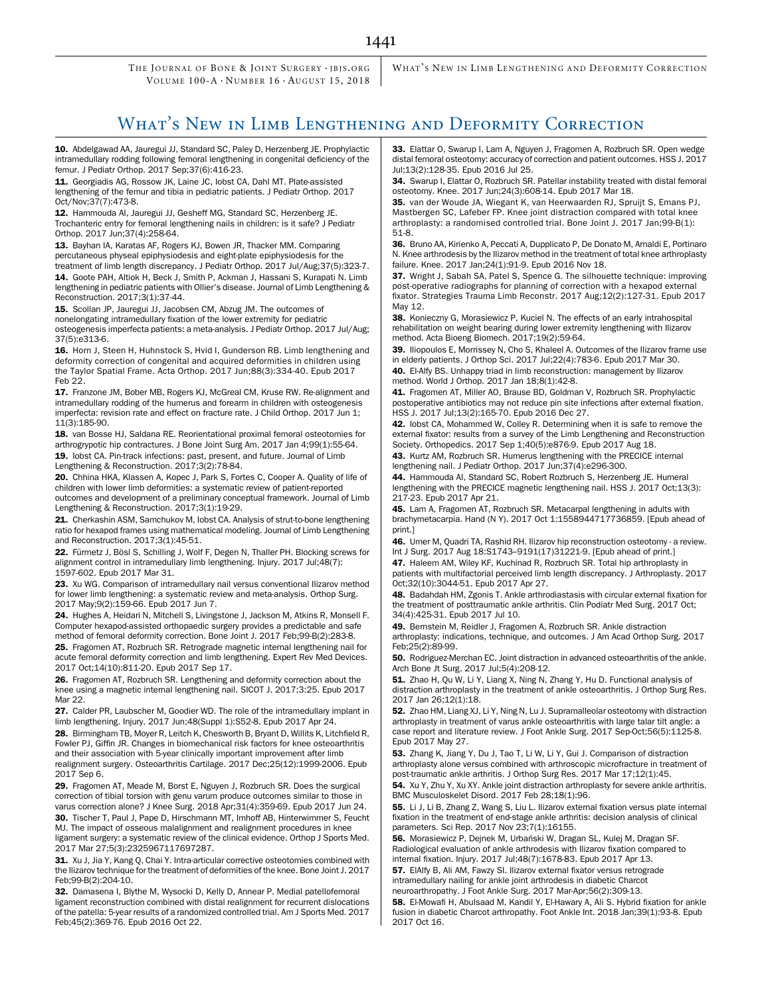THE JOURNAL OF BONE & JOINT SURGERY · IBIS. ORG VOLUME 100-A · NUMBER 16 · AUGUST 15, 2018

WHAT'S NEW IN LIMB LENGTHENING AND DEFORMITY CORRECTION

# WHAT'S NEW IN LIMB LENGTHENING AND DEFORMITY CORRECTION

10. Abdelgawad AA, Jauregui JJ, Standard SC, Paley D, Herzenberg JE. Prophylactic intramedullary rodding following femoral lengthening in congenital deficiency of the femur. J Pediatr Orthop. 2017 Sep;37(6):416-23.

11. Georgiadis AG, Rossow JK, Laine JC, lobst CA, Dahl MT. Plate-assisted lengthening of the femur and tibia in pediatric patients. J Pediatr Orthop. 2017 Oct/Nov;37(7):473-8.

12. Hammouda AI, Jauregui JJ, Gesheff MG, Standard SC, Herzenberg JE. Trochanteric entry for femoral lengthening nails in children: is it safe? J Pediatr Orthop. 2017 Jun;37(4):258-64.

13. Bayhan IA, Karatas AF, Rogers KJ, Bowen JR, Thacker MM. Comparing percutaneous physeal epiphysiodesis and eight-plate epiphysiodesis for the treatment of limb length discrepancy. J Pediatr Orthop. 2017 Jul/Aug;37(5):323-7.

14. Goote PAH, Altiok H, Beck J, Smith P, Ackman J, Hassani S, Kurapati N. Limb lengthening in pediatric patients with Ollier's disease. Journal of Limb Lengthening & Reconstruction. 2017;3(1):37-44.

15. Scollan JP, Jauregui JJ, Jacobsen CM, Abzug JM. The outcomes of nonelongating intramedullary fixation of the lower extremity for pediatric osteogenesis imperfecta patients: a meta-analysis. J Pediatr Orthop. 2017 Jul/Aug; 37(5):e313-6.

16. Horn J, Steen H, Huhnstock S, Hvid I, Gunderson RB. Limb lengthening and deformity correction of congenital and acquired deformities in children using the Taylor Spatial Frame. Acta Orthop. 2017 Jun;88(3):334-40. Epub 2017 Feb 22.

17. Franzone JM, Bober MB, Rogers KJ, McGreal CM, Kruse RW. Re-alignment and intramedullary rodding of the humerus and forearm in children with osteogenesis imperfecta: revision rate and effect on fracture rate. J Child Orthop. 2017 Jun 1; 11(3):185-90.

18. van Bosse HJ, Saldana RE. Reorientational proximal femoral osteotomies for arthrogrypotic hip contractures. J Bone Joint Surg Am. 2017 Jan 4;99(1):55-64. 19. Iobst CA. Pin-track infections: past, present, and future. Journal of Limb Lengthening & Reconstruction. 2017;3(2):78-84.

20. Chhina HKA, Klassen A, Kopec J, Park S, Fortes C, Cooper A. Quality of life of children with lower limb deformities: a systematic review of patient-reported outcomes and development of a preliminary conceptual framework. Journal of Limb Lengthening & Reconstruction. 2017;3(1):19-29.

21. Cherkashin ASM, Samchukov M, Iobst CA. Analysis of strut-to-bone lengthening ratio for hexapod frames using mathematical modeling. Journal of Limb Lengthening and Reconstruction. 2017;3(1):45-51.

22. Fürmetz J, Bösl S, Schilling J, Wolf F, Degen N, Thaller PH. Blocking screws for alignment control in intramedullary limb lengthening. Injury. 2017 Jul;48(7): 1597-602. Epub 2017 Mar 31.

23. Xu WG. Comparison of intramedullary nail versus conventional Ilizarov method for lower limb lengthening: a systematic review and meta-analysis. Orthop Surg. 2017 May;9(2):159-66. Epub 2017 Jun 7.

24. Hughes A, Heidari N, Mitchell S, Livingstone J, Jackson M, Atkins R, Monsell F. Computer hexapod-assisted orthopaedic surgery provides a predictable and safe method of femoral deformity correction. Bone Joint J. 2017 Feb;99-B(2):283-8.

25. Fragomen AT, Rozbruch SR. Retrograde magnetic internal lengthening nail for acute femoral deformity correction and limb lengthening. Expert Rev Med Devices. 2017 Oct;14(10):811-20. Epub 2017 Sep 17.

26. Fragomen AT, Rozbruch SR. Lengthening and deformity correction about the knee using a magnetic internal lengthening nail. SICOT J. 2017;3:25. Epub 2017 Mar 22.

27. Calder PR, Laubscher M, Goodier WD. The role of the intramedullary implant in limb lengthening. Injury. 2017 Jun;48(Suppl 1):S52-8. Epub 2017 Apr 24.

28. Birmingham TB, Moyer R, Leitch K, Chesworth B, Bryant D, Willits K, Litchfield R, Fowler PJ, Giffin JR. Changes in biomechanical risk factors for knee osteoarthritis and their association with 5-year clinically important improvement after limb realignment surgery. Osteoarthritis Cartilage. 2017 Dec;25(12):1999-2006. Epub 2017 Sep 6.

29. Fragomen AT, Meade M, Borst E, Nguyen J, Rozbruch SR. Does the surgical correction of tibial torsion with genu varum produce outcomes similar to those in varus correction alone? J Knee Surg. 2018 Apr;31(4):359-69. Epub 2017 Jun 24.

30. Tischer T, Paul J, Pape D, Hirschmann MT, Imhoff AB, Hinterwimmer S, Feucht MJ. The impact of osseous malalignment and realignment procedures in knee ligament surgery: a systematic review of the clinical evidence. Orthop J Sports Med. 2017 Mar 27;5(3):2325967117697287.

31. Xu J, Jia Y, Kang Q, Chai Y. Intra-articular corrective osteotomies combined with the Ilizarov technique for the treatment of deformities of the knee. Bone Joint J. 2017 Feb;99-B(2):204-10.

32. Damasena I, Blythe M, Wysocki D, Kelly D, Annear P. Medial patellofemoral ligament reconstruction combined with distal realignment for recurrent dislocations of the patella: 5-year results of a randomized controlled trial. Am J Sports Med. 2017 Feb;45(2):369-76. Epub 2016 Oct 22.

33. Elattar O, Swarup I, Lam A, Nguyen J, Fragomen A, Rozbruch SR. Open wedge distal femoral osteotomy: accuracy of correction and patient outcomes. HSS J. 2017 Jul;13(2):128-35. Epub 2016 Jul 25.

34. Swarup I, Elattar O, Rozbruch SR. Patellar instability treated with distal femoral osteotomy. Knee. 2017 Jun;24(3):608-14. Epub 2017 Mar 18.

35. van der Woude JA, Wiegant K, van Heerwaarden RJ, Spruijt S, Emans PJ, Mastbergen SC, Lafeber FP. Knee joint distraction compared with total knee arthroplasty: a randomised controlled trial. Bone Joint J. 2017 Jan;99-B(1): 51-8.

36. Bruno AA, Kirienko A, Peccati A, Dupplicato P, De Donato M, Arnaldi E, Portinaro N. Knee arthrodesis by the Ilizarov method in the treatment of total knee arthroplasty failure. Knee. 2017 Jan;24(1):91-9. Epub 2016 Nov 18.

37. Wright J, Sabah SA, Patel S, Spence G. The silhouette technique: improving post-operative radiographs for planning of correction with a hexapod external fixator. Strategies Trauma Limb Reconstr. 2017 Aug;12(2):127-31. Epub 2017 May 12.

38. Konieczny G, Morasiewicz P, Kuciel N. The effects of an early intrahospital rehabilitation on weight bearing during lower extremity lengthening with Ilizarov method. Acta Bioeng Biomech. 2017;19(2):59-64.

39. Iliopoulos E, Morrissey N, Cho S, Khaleel A. Outcomes of the Ilizarov frame use in elderly patients. J Orthop Sci. 2017 Jul;22(4):783-6. Epub 2017 Mar 30. 40. El-Alfy BS. Unhappy triad in limb reconstruction: management by Ilizarov method. World J Orthop. 2017 Jan 18;8(1):42-8.

41. Fragomen AT, Miller AO, Brause BD, Goldman V, Rozbruch SR, Prophylactic postoperative antibiotics may not reduce pin site infections after external fixation. HSS J. 2017 Jul;13(2):165-70. Epub 2016 Dec 27.

42. Iobst CA, Mohammed W, Colley R. Determining when it is safe to remove the external fixator: results from a survey of the Limb Lengthening and Reconstruction Society. Orthopedics. 2017 Sep 1;40(5):e876-9. Epub 2017 Aug 18.

43. Kurtz AM, Rozbruch SR. Humerus lengthening with the PRECICE internal lengthening nail. J Pediatr Orthop. 2017 Jun;37(4):e296-300.

44. Hammouda AI, Standard SC, Robert Rozbruch S, Herzenberg JE. Humeral lengthening with the PRECICE magnetic lengthening nail. HSS J. 2017 Oct;13(3): 217-23. Epub 2017 Apr 21.

45. Lam A, Fragomen AT, Rozbruch SR. Metacarpal lengthening in adults with brachymetacarpia. Hand (N Y). 2017 Oct 1:1558944717736859. [Epub ahead of print.]

46. Umer M, Quadri TA, Rashid RH. Ilizarov hip reconstruction osteotomy - a review. Int J Surg. 2017 Aug 18:S1743–9191(17)31221-9. [Epub ahead of print.]

47. Haleem AM, Wiley KF, Kuchinad R, Rozbruch SR. Total hip arthroplasty in patients with multifactorial perceived limb length discrepancy. J Arthroplasty. 2017 Oct;32(10):3044-51. Epub 2017 Apr 27.

48. Badahdah HM, Zgonis T. Ankle arthrodiastasis with circular external fixation for the treatment of posttraumatic ankle arthritis. Clin Podiatr Med Surg. 2017 Oct; 34(4):425-31. Epub 2017 Jul 10.

49. Bernstein M, Reidler J, Fragomen A, Rozbruch SR. Ankle distraction arthroplasty: indications, technique, and outcomes. J Am Acad Orthop Surg. 2017 Feb;25(2):89-99.

50. Rodriguez-Merchan EC. Joint distraction in advanced osteoarthritis of the ankle. Arch Bone Jt Surg. 2017 Jul;5(4):208-12.

51. Zhao H, Qu W, Li Y, Liang X, Ning N, Zhang Y, Hu D. Functional analysis of distraction arthroplasty in the treatment of ankle osteoarthritis. J Orthop Surg Res. 2017 Jan 26;12(1):18.

52. Zhao HM, Liang XJ, Li Y, Ning N, Lu J. Supramalleolar osteotomy with distraction arthroplasty in treatment of varus ankle osteoarthritis with large talar tilt angle: a case report and literature review. J Foot Ankle Surg. 2017 Sep-Oct;56(5):1125-8. Epub 2017 May 27.

53. Zhang K, Jiang Y, Du J, Tao T, Li W, Li Y, Gui J. Comparison of distraction arthroplasty alone versus combined with arthroscopic microfracture in treatment of post-traumatic ankle arthritis. J Orthop Surg Res. 2017 Mar 17;12(1):45.

54. Xu Y, Zhu Y, Xu XY. Ankle joint distraction arthroplasty for severe ankle arthritis. BMC Musculoskelet Disord. 2017 Feb 28;18(1):96.

55. Li J, Li B, Zhang Z, Wang S, Liu L. Ilizarov external fixation versus plate internal fixation in the treatment of end-stage ankle arthritis: decision analysis of clinical parameters. Sci Rep. 2017 Nov 23;7(1):16155.

56. Morasiewicz P, Dejnek M, Urbański W, Dragan SL, Kulej M, Dragan SF. Radiological evaluation of ankle arthrodesis with Ilizarov fixation compared to internal fixation. Injury. 2017 Jul;48(7):1678-83. Epub 2017 Apr 13.

57. ElAlfy B, Ali AM, Fawzy SI. Ilizarov external fixator versus retrograde intramedullary nailing for ankle joint arthrodesis in diabetic Charcot neuroarthropathy. J Foot Ankle Surg. 2017 Mar-Apr;56(2):309-13.

58. El-Mowafi H, Abulsaad M, Kandil Y, El-Hawary A, Ali S. Hybrid fixation for ankle fusion in diabetic Charcot arthropathy. Foot Ankle Int. 2018 Jan;39(1):93-8. Epub 2017 Oct 16.